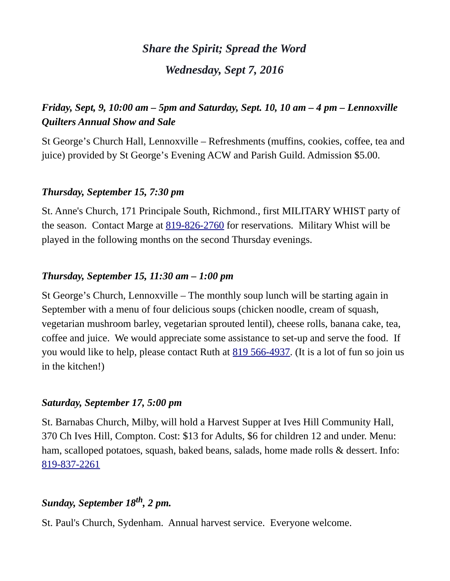# *Share the Spirit; Spread the Word Wednesday, Sept 7, 2016*

# *Friday, Sept, 9, 10:00 am – 5pm and Saturday, Sept. 10, 10 am – 4 pm – Lennoxville Quilters Annual Show and Sale*

St George's Church Hall, Lennoxville – Refreshments (muffins, cookies, coffee, tea and juice) provided by St George's Evening ACW and Parish Guild. Admission \$5.00.

### *Thursday, September 15, 7:30 pm*

St. Anne's Church, 171 Principale South, Richmond., first MILITARY WHIST party of the season. Contact Marge at <u>819-826-2760</u> for reservations. Military Whist will be played in the following months on the second Thursday evenings.

### *Thursday, September 15, 11:30 am – 1:00 pm*

St George's Church, Lennoxville – The monthly soup lunch will be starting again in September with a menu of four delicious soups (chicken noodle, cream of squash, vegetarian mushroom barley, vegetarian sprouted lentil), cheese rolls, banana cake, tea, coffee and juice. We would appreciate some assistance to set-up and serve the food. If you would like to help, please contact Ruth at [819 566-4937.](tel:819%20566-4937) (It is a lot of fun so join us in the kitchen!)

### *Saturday, September 17, 5:00 pm*

St. Barnabas Church, Milby, will hold a Harvest Supper at Ives Hill Community Hall, 370 Ch Ives Hill, Compton. Cost: \$13 for Adults, \$6 for children 12 and under. Menu: ham, scalloped potatoes, squash, baked beans, salads, home made rolls & dessert. Info: [819-837-2261](tel:819-837-2261)

# *Sunday, September 18th, 2 pm.*

St. Paul's Church, Sydenham. Annual harvest service. Everyone welcome.